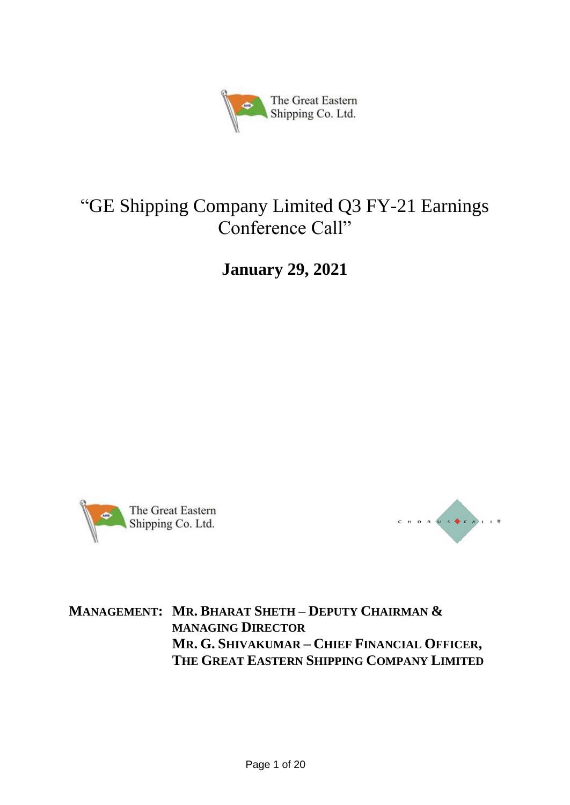

# "GE Shipping Company Limited Q3 FY-21 Earnings Conference Call"

**January 29, 2021**





## **MANAGEMENT: MR. BHARAT SHETH – DEPUTY CHAIRMAN & MANAGING DIRECTOR MR. G. SHIVAKUMAR – CHIEF FINANCIAL OFFICER, THE GREAT EASTERN SHIPPING COMPANY LIMITED**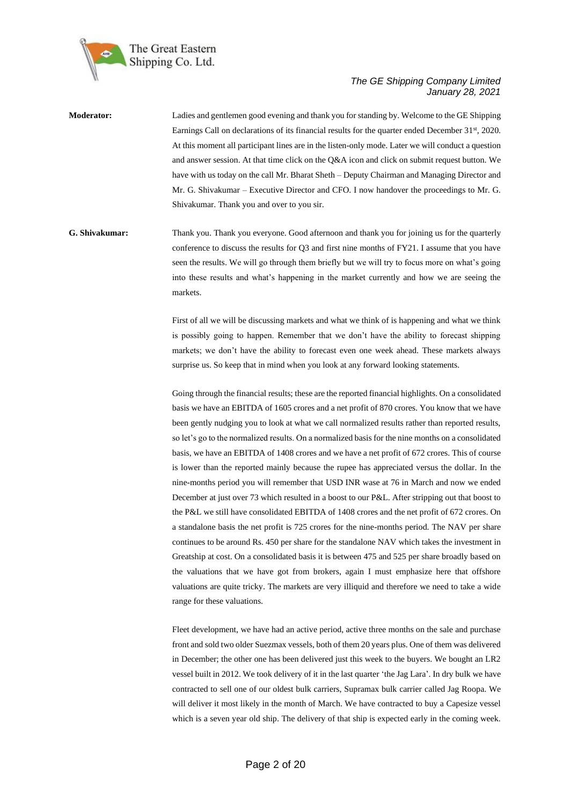

**Moderator:** Ladies and gentlemen good evening and thank you for standing by. Welcome to the GE Shipping Earnings Call on declarations of its financial results for the quarter ended December 31<sup>st</sup>, 2020. At this moment all participant lines are in the listen-only mode. Later we will conduct a question and answer session. At that time click on the Q&A icon and click on submit request button. We have with us today on the call Mr. Bharat Sheth – Deputy Chairman and Managing Director and Mr. G. Shivakumar – Executive Director and CFO. I now handover the proceedings to Mr. G. Shivakumar. Thank you and over to you sir.

### **G. Shivakumar:** Thank you. Thank you everyone. Good afternoon and thank you for joining us for the quarterly conference to discuss the results for Q3 and first nine months of FY21. I assume that you have seen the results. We will go through them briefly but we will try to focus more on what's going into these results and what's happening in the market currently and how we are seeing the markets.

First of all we will be discussing markets and what we think of is happening and what we think is possibly going to happen. Remember that we don't have the ability to forecast shipping markets; we don't have the ability to forecast even one week ahead. These markets always surprise us. So keep that in mind when you look at any forward looking statements.

Going through the financial results; these are the reported financial highlights. On a consolidated basis we have an EBITDA of 1605 crores and a net profit of 870 crores. You know that we have been gently nudging you to look at what we call normalized results rather than reported results, so let's go to the normalized results. On a normalized basis for the nine months on a consolidated basis, we have an EBITDA of 1408 crores and we have a net profit of 672 crores. This of course is lower than the reported mainly because the rupee has appreciated versus the dollar. In the nine-months period you will remember that USD INR wase at 76 in March and now we ended December at just over 73 which resulted in a boost to our P&L. After stripping out that boost to the P&L we still have consolidated EBITDA of 1408 crores and the net profit of 672 crores. On a standalone basis the net profit is 725 crores for the nine-months period. The NAV per share continues to be around Rs. 450 per share for the standalone NAV which takes the investment in Greatship at cost. On a consolidated basis it is between 475 and 525 per share broadly based on the valuations that we have got from brokers, again I must emphasize here that offshore valuations are quite tricky. The markets are very illiquid and therefore we need to take a wide range for these valuations.

Fleet development, we have had an active period, active three months on the sale and purchase front and sold two older Suezmax vessels, both of them 20 years plus. One of them was delivered in December; the other one has been delivered just this week to the buyers. We bought an LR2 vessel built in 2012. We took delivery of it in the last quarter 'the Jag Lara'. In dry bulk we have contracted to sell one of our oldest bulk carriers, Supramax bulk carrier called Jag Roopa. We will deliver it most likely in the month of March. We have contracted to buy a Capesize vessel which is a seven year old ship. The delivery of that ship is expected early in the coming week.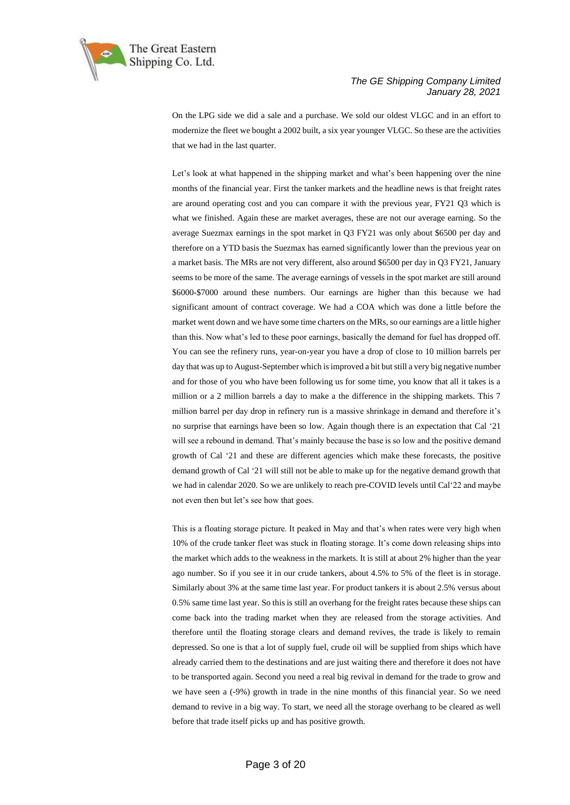

On the LPG side we did a sale and a purchase. We sold our oldest VLGC and in an effort to modernize the fleet we bought a 2002 built, a six year younger VLGC. So these are the activities that we had in the last quarter.

Let's look at what happened in the shipping market and what's been happening over the nine months of the financial year. First the tanker markets and the headline news is that freight rates are around operating cost and you can compare it with the previous year, FY21 Q3 which is what we finished. Again these are market averages, these are not our average earning. So the average Suezmax earnings in the spot market in Q3 FY21 was only about \$6500 per day and therefore on a YTD basis the Suezmax has earned significantly lower than the previous year on a market basis. The MRs are not very different, also around \$6500 per day in Q3 FY21, January seems to be more of the same. The average earnings of vessels in the spot market are still around \$6000-\$7000 around these numbers. Our earnings are higher than this because we had significant amount of contract coverage. We had a COA which was done a little before the market went down and we have some time charters on the MRs, so our earnings are a little higher than this. Now what's led to these poor earnings, basically the demand for fuel has dropped off. You can see the refinery runs, year-on-year you have a drop of close to 10 million barrels per day that was up to August-September which is improved a bit but still a very big negative number and for those of you who have been following us for some time, you know that all it takes is a million or a 2 million barrels a day to make a the difference in the shipping markets. This 7 million barrel per day drop in refinery run is a massive shrinkage in demand and therefore it's no surprise that earnings have been so low. Again though there is an expectation that Cal '21 will see a rebound in demand. That's mainly because the base is so low and the positive demand growth of Cal '21 and these are different agencies which make these forecasts, the positive demand growth of Cal '21 will still not be able to make up for the negative demand growth that we had in calendar 2020. So we are unlikely to reach pre-COVID levels until Cal'22 and maybe not even then but let's see how that goes.

This is a floating storage picture. It peaked in May and that's when rates were very high when 10% of the crude tanker fleet was stuck in floating storage. It's come down releasing ships into the market which adds to the weakness in the markets. It is still at about 2% higher than the year ago number. So if you see it in our crude tankers, about 4.5% to 5% of the fleet is in storage. Similarly about 3% at the same time last year. For product tankers it is about 2.5% versus about 0.5% same time last year. So this is still an overhang for the freight rates because these ships can come back into the trading market when they are released from the storage activities. And therefore until the floating storage clears and demand revives, the trade is likely to remain depressed. So one is that a lot of supply fuel, crude oil will be supplied from ships which have already carried them to the destinations and are just waiting there and therefore it does not have to be transported again. Second you need a real big revival in demand for the trade to grow and we have seen a (-9%) growth in trade in the nine months of this financial year. So we need demand to revive in a big way. To start, we need all the storage overhang to be cleared as well before that trade itself picks up and has positive growth.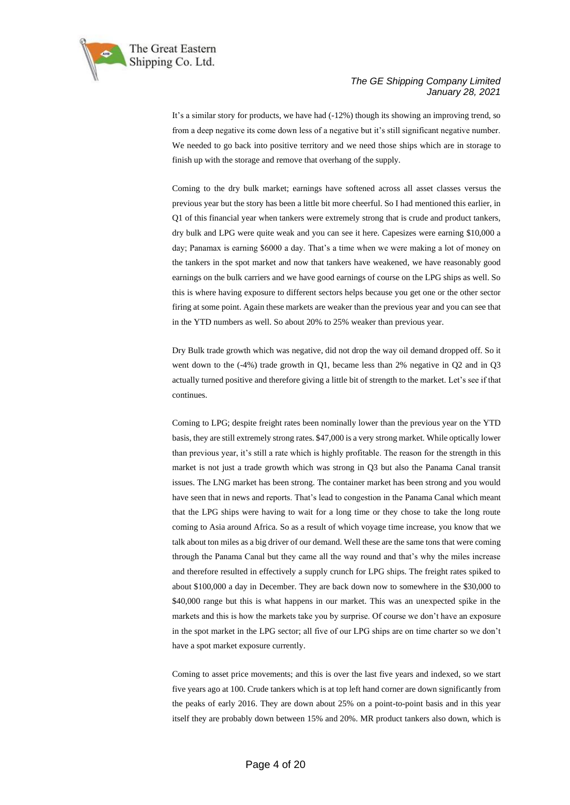

It's a similar story for products, we have had (-12%) though its showing an improving trend, so from a deep negative its come down less of a negative but it's still significant negative number. We needed to go back into positive territory and we need those ships which are in storage to finish up with the storage and remove that overhang of the supply.

Coming to the dry bulk market; earnings have softened across all asset classes versus the previous year but the story has been a little bit more cheerful. So I had mentioned this earlier, in Q1 of this financial year when tankers were extremely strong that is crude and product tankers, dry bulk and LPG were quite weak and you can see it here. Capesizes were earning \$10,000 a day; Panamax is earning \$6000 a day. That's a time when we were making a lot of money on the tankers in the spot market and now that tankers have weakened, we have reasonably good earnings on the bulk carriers and we have good earnings of course on the LPG ships as well. So this is where having exposure to different sectors helps because you get one or the other sector firing at some point. Again these markets are weaker than the previous year and you can see that in the YTD numbers as well. So about 20% to 25% weaker than previous year.

Dry Bulk trade growth which was negative, did not drop the way oil demand dropped off. So it went down to the (-4%) trade growth in Q1, became less than 2% negative in Q2 and in Q3 actually turned positive and therefore giving a little bit of strength to the market. Let's see if that continues.

Coming to LPG; despite freight rates been nominally lower than the previous year on the YTD basis, they are still extremely strong rates. \$47,000 is a very strong market. While optically lower than previous year, it's still a rate which is highly profitable. The reason for the strength in this market is not just a trade growth which was strong in Q3 but also the Panama Canal transit issues. The LNG market has been strong. The container market has been strong and you would have seen that in news and reports. That's lead to congestion in the Panama Canal which meant that the LPG ships were having to wait for a long time or they chose to take the long route coming to Asia around Africa. So as a result of which voyage time increase, you know that we talk about ton miles as a big driver of our demand. Well these are the same tons that were coming through the Panama Canal but they came all the way round and that's why the miles increase and therefore resulted in effectively a supply crunch for LPG ships. The freight rates spiked to about \$100,000 a day in December. They are back down now to somewhere in the \$30,000 to \$40,000 range but this is what happens in our market. This was an unexpected spike in the markets and this is how the markets take you by surprise. Of course we don't have an exposure in the spot market in the LPG sector; all five of our LPG ships are on time charter so we don't have a spot market exposure currently.

Coming to asset price movements; and this is over the last five years and indexed, so we start five years ago at 100. Crude tankers which is at top left hand corner are down significantly from the peaks of early 2016. They are down about 25% on a point-to-point basis and in this year itself they are probably down between 15% and 20%. MR product tankers also down, which is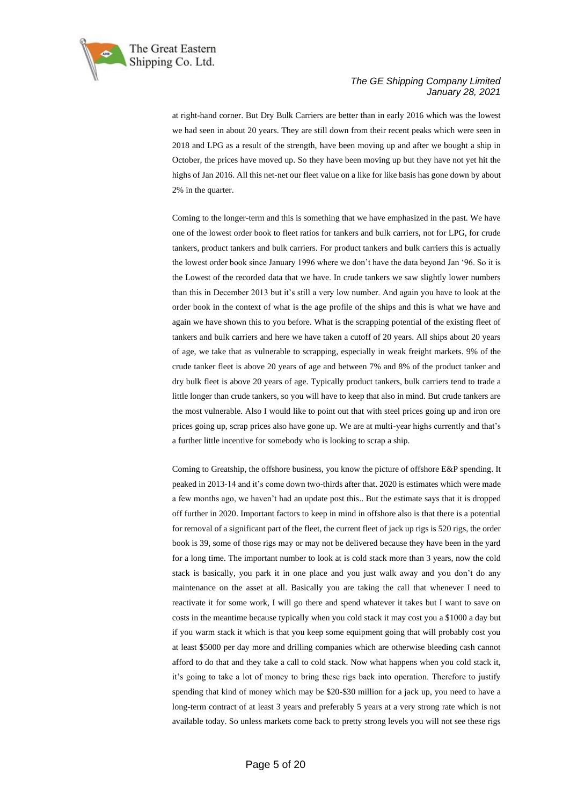

at right-hand corner. But Dry Bulk Carriers are better than in early 2016 which was the lowest we had seen in about 20 years. They are still down from their recent peaks which were seen in 2018 and LPG as a result of the strength, have been moving up and after we bought a ship in October, the prices have moved up. So they have been moving up but they have not yet hit the highs of Jan 2016. All this net-net our fleet value on a like for like basis has gone down by about 2% in the quarter.

Coming to the longer-term and this is something that we have emphasized in the past. We have one of the lowest order book to fleet ratios for tankers and bulk carriers, not for LPG, for crude tankers, product tankers and bulk carriers. For product tankers and bulk carriers this is actually the lowest order book since January 1996 where we don't have the data beyond Jan '96. So it is the Lowest of the recorded data that we have. In crude tankers we saw slightly lower numbers than this in December 2013 but it's still a very low number. And again you have to look at the order book in the context of what is the age profile of the ships and this is what we have and again we have shown this to you before. What is the scrapping potential of the existing fleet of tankers and bulk carriers and here we have taken a cutoff of 20 years. All ships about 20 years of age, we take that as vulnerable to scrapping, especially in weak freight markets. 9% of the crude tanker fleet is above 20 years of age and between 7% and 8% of the product tanker and dry bulk fleet is above 20 years of age. Typically product tankers, bulk carriers tend to trade a little longer than crude tankers, so you will have to keep that also in mind. But crude tankers are the most vulnerable. Also I would like to point out that with steel prices going up and iron ore prices going up, scrap prices also have gone up. We are at multi-year highs currently and that's a further little incentive for somebody who is looking to scrap a ship.

Coming to Greatship, the offshore business, you know the picture of offshore E&P spending. It peaked in 2013-14 and it's come down two-thirds after that. 2020 is estimates which were made a few months ago, we haven't had an update post this.. But the estimate says that it is dropped off further in 2020. Important factors to keep in mind in offshore also is that there is a potential for removal of a significant part of the fleet, the current fleet of jack up rigs is 520 rigs, the order book is 39, some of those rigs may or may not be delivered because they have been in the yard for a long time. The important number to look at is cold stack more than 3 years, now the cold stack is basically, you park it in one place and you just walk away and you don't do any maintenance on the asset at all. Basically you are taking the call that whenever I need to reactivate it for some work, I will go there and spend whatever it takes but I want to save on costs in the meantime because typically when you cold stack it may cost you a \$1000 a day but if you warm stack it which is that you keep some equipment going that will probably cost you at least \$5000 per day more and drilling companies which are otherwise bleeding cash cannot afford to do that and they take a call to cold stack. Now what happens when you cold stack it, it's going to take a lot of money to bring these rigs back into operation. Therefore to justify spending that kind of money which may be \$20-\$30 million for a jack up, you need to have a long-term contract of at least 3 years and preferably 5 years at a very strong rate which is not available today. So unless markets come back to pretty strong levels you will not see these rigs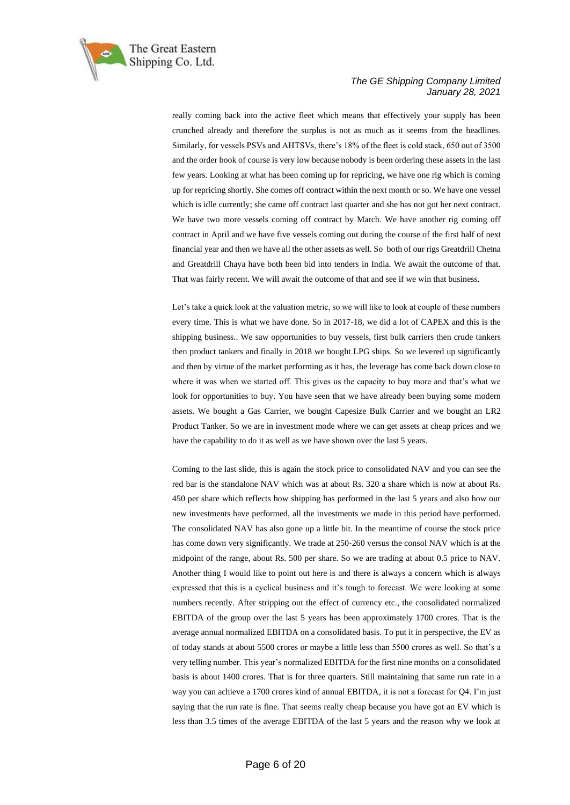

really coming back into the active fleet which means that effectively your supply has been crunched already and therefore the surplus is not as much as it seems from the headlines. Similarly, for vessels PSVs and AHTSVs, there's 18% of the fleet is cold stack, 650 out of 3500 and the order book of course is very low because nobody is been ordering these assets in the last few years. Looking at what has been coming up for repricing, we have one rig which is coming up for repricing shortly. She comes off contract within the next month or so. We have one vessel which is idle currently; she came off contract last quarter and she has not got her next contract. We have two more vessels coming off contract by March. We have another rig coming off contract in April and we have five vessels coming out during the course of the first half of next financial year and then we have all the other assets as well. So both of our rigs Greatdrill Chetna and Greatdrill Chaya have both been bid into tenders in India. We await the outcome of that. That was fairly recent. We will await the outcome of that and see if we win that business.

Let's take a quick look at the valuation metric, so we will like to look at couple of these numbers every time. This is what we have done. So in 2017-18, we did a lot of CAPEX and this is the shipping business.. We saw opportunities to buy vessels, first bulk carriers then crude tankers then product tankers and finally in 2018 we bought LPG ships. So we levered up significantly and then by virtue of the market performing as it has, the leverage has come back down close to where it was when we started off. This gives us the capacity to buy more and that's what we look for opportunities to buy. You have seen that we have already been buying some modern assets. We bought a Gas Carrier, we bought Capesize Bulk Carrier and we bought an LR2 Product Tanker. So we are in investment mode where we can get assets at cheap prices and we have the capability to do it as well as we have shown over the last 5 years.

Coming to the last slide, this is again the stock price to consolidated NAV and you can see the red bar is the standalone NAV which was at about Rs. 320 a share which is now at about Rs. 450 per share which reflects how shipping has performed in the last 5 years and also how our new investments have performed, all the investments we made in this period have performed. The consolidated NAV has also gone up a little bit. In the meantime of course the stock price has come down very significantly. We trade at 250-260 versus the consol NAV which is at the midpoint of the range, about Rs. 500 per share. So we are trading at about 0.5 price to NAV. Another thing I would like to point out here is and there is always a concern which is always expressed that this is a cyclical business and it's tough to forecast. We were looking at some numbers recently. After stripping out the effect of currency etc., the consolidated normalized EBITDA of the group over the last 5 years has been approximately 1700 crores. That is the average annual normalized EBITDA on a consolidated basis. To put it in perspective, the EV as of today stands at about 5500 crores or maybe a little less than 5500 crores as well. So that's a very telling number. This year's normalized EBITDA for the first nine months on a consolidated basis is about 1400 crores. That is for three quarters. Still maintaining that same run rate in a way you can achieve a 1700 crores kind of annual EBITDA, it is not a forecast for Q4. I'm just saying that the run rate is fine. That seems really cheap because you have got an EV which is less than 3.5 times of the average EBITDA of the last 5 years and the reason why we look at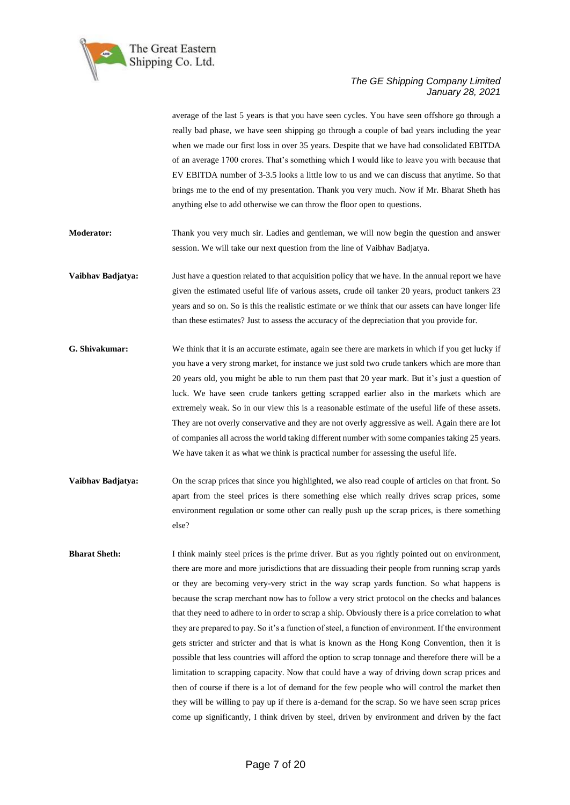

average of the last 5 years is that you have seen cycles. You have seen offshore go through a really bad phase, we have seen shipping go through a couple of bad years including the year when we made our first loss in over 35 years. Despite that we have had consolidated EBITDA of an average 1700 crores. That's something which I would like to leave you with because that EV EBITDA number of 3-3.5 looks a little low to us and we can discuss that anytime. So that brings me to the end of my presentation. Thank you very much. Now if Mr. Bharat Sheth has anything else to add otherwise we can throw the floor open to questions.

**Moderator:** Thank you very much sir. Ladies and gentleman, we will now begin the question and answer session. We will take our next question from the line of Vaibhav Badjatya.

**Vaibhav Badjatya:** Just have a question related to that acquisition policy that we have. In the annual report we have given the estimated useful life of various assets, crude oil tanker 20 years, product tankers 23 years and so on. So is this the realistic estimate or we think that our assets can have longer life than these estimates? Just to assess the accuracy of the depreciation that you provide for.

- **G. Shivakumar:** We think that it is an accurate estimate, again see there are markets in which if you get lucky if you have a very strong market, for instance we just sold two crude tankers which are more than 20 years old, you might be able to run them past that 20 year mark. But it's just a question of luck. We have seen crude tankers getting scrapped earlier also in the markets which are extremely weak. So in our view this is a reasonable estimate of the useful life of these assets. They are not overly conservative and they are not overly aggressive as well. Again there are lot of companies all across the world taking different number with some companies taking 25 years. We have taken it as what we think is practical number for assessing the useful life.
- **Vaibhav Badjatya:** On the scrap prices that since you highlighted, we also read couple of articles on that front. So apart from the steel prices is there something else which really drives scrap prices, some environment regulation or some other can really push up the scrap prices, is there something else?

**Bharat Sheth:** I think mainly steel prices is the prime driver. But as you rightly pointed out on environment, there are more and more jurisdictions that are dissuading their people from running scrap yards or they are becoming very-very strict in the way scrap yards function. So what happens is because the scrap merchant now has to follow a very strict protocol on the checks and balances that they need to adhere to in order to scrap a ship. Obviously there is a price correlation to what they are prepared to pay. So it's a function of steel, a function of environment. If the environment gets stricter and stricter and that is what is known as the Hong Kong Convention, then it is possible that less countries will afford the option to scrap tonnage and therefore there will be a limitation to scrapping capacity. Now that could have a way of driving down scrap prices and then of course if there is a lot of demand for the few people who will control the market then they will be willing to pay up if there is a-demand for the scrap. So we have seen scrap prices come up significantly, I think driven by steel, driven by environment and driven by the fact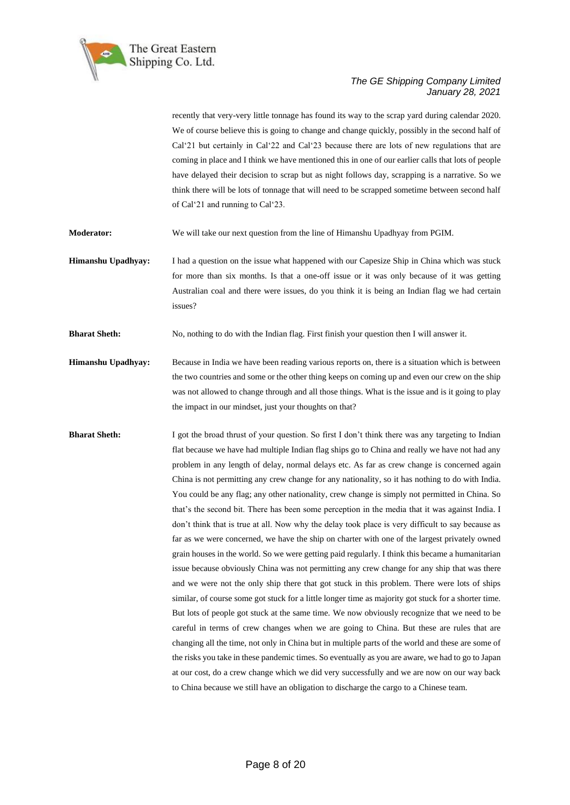

recently that very-very little tonnage has found its way to the scrap yard during calendar 2020. We of course believe this is going to change and change quickly, possibly in the second half of Cal'21 but certainly in Cal'22 and Cal'23 because there are lots of new regulations that are coming in place and I think we have mentioned this in one of our earlier calls that lots of people have delayed their decision to scrap but as night follows day, scrapping is a narrative. So we think there will be lots of tonnage that will need to be scrapped sometime between second half of Cal'21 and running to Cal'23.

**Moderator:** We will take our next question from the line of Himanshu Upadhyay from PGIM.

**Himanshu Upadhyay:** I had a question on the issue what happened with our Capesize Ship in China which was stuck for more than six months. Is that a one-off issue or it was only because of it was getting Australian coal and there were issues, do you think it is being an Indian flag we had certain issues?

**Bharat Sheth:** No, nothing to do with the Indian flag. First finish your question then I will answer it.

- **Himanshu Upadhyay:** Because in India we have been reading various reports on, there is a situation which is between the two countries and some or the other thing keeps on coming up and even our crew on the ship was not allowed to change through and all those things. What is the issue and is it going to play the impact in our mindset, just your thoughts on that?
- **Bharat Sheth:** I got the broad thrust of your question. So first I don't think there was any targeting to Indian flat because we have had multiple Indian flag ships go to China and really we have not had any problem in any length of delay, normal delays etc. As far as crew change is concerned again China is not permitting any crew change for any nationality, so it has nothing to do with India. You could be any flag; any other nationality, crew change is simply not permitted in China. So that's the second bit. There has been some perception in the media that it was against India. I don't think that is true at all. Now why the delay took place is very difficult to say because as far as we were concerned, we have the ship on charter with one of the largest privately owned grain houses in the world. So we were getting paid regularly. I think this became a humanitarian issue because obviously China was not permitting any crew change for any ship that was there and we were not the only ship there that got stuck in this problem. There were lots of ships similar, of course some got stuck for a little longer time as majority got stuck for a shorter time. But lots of people got stuck at the same time. We now obviously recognize that we need to be careful in terms of crew changes when we are going to China. But these are rules that are changing all the time, not only in China but in multiple parts of the world and these are some of the risks you take in these pandemic times. So eventually as you are aware, we had to go to Japan at our cost, do a crew change which we did very successfully and we are now on our way back to China because we still have an obligation to discharge the cargo to a Chinese team.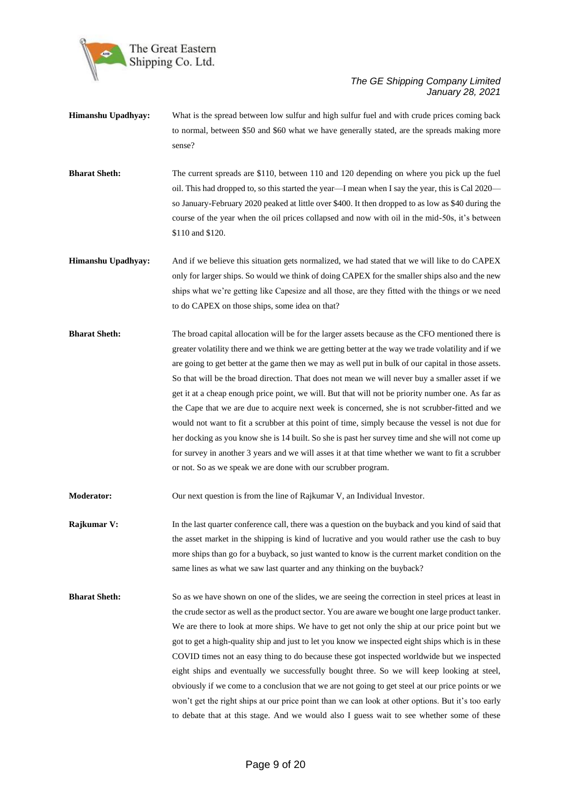

- **Himanshu Upadhyay:** What is the spread between low sulfur and high sulfur fuel and with crude prices coming back to normal, between \$50 and \$60 what we have generally stated, are the spreads making more sense?
- **Bharat Sheth:** The current spreads are \$110, between 110 and 120 depending on where you pick up the fuel oil. This had dropped to, so this started the year—I mean when I say the year, this is Cal 2020 so January-February 2020 peaked at little over \$400. It then dropped to as low as \$40 during the course of the year when the oil prices collapsed and now with oil in the mid-50s, it's between \$110 and \$120.
- **Himanshu Upadhyay:** And if we believe this situation gets normalized, we had stated that we will like to do CAPEX only for larger ships. So would we think of doing CAPEX for the smaller ships also and the new ships what we're getting like Capesize and all those, are they fitted with the things or we need to do CAPEX on those ships, some idea on that?
- **Bharat Sheth:** The broad capital allocation will be for the larger assets because as the CFO mentioned there is greater volatility there and we think we are getting better at the way we trade volatility and if we are going to get better at the game then we may as well put in bulk of our capital in those assets. So that will be the broad direction. That does not mean we will never buy a smaller asset if we get it at a cheap enough price point, we will. But that will not be priority number one. As far as the Cape that we are due to acquire next week is concerned, she is not scrubber-fitted and we would not want to fit a scrubber at this point of time, simply because the vessel is not due for her docking as you know she is 14 built. So she is past her survey time and she will not come up for survey in another 3 years and we will asses it at that time whether we want to fit a scrubber or not. So as we speak we are done with our scrubber program.
- **Moderator:** Our next question is from the line of Rajkumar V, an Individual Investor.
- **Rajkumar V:** In the last quarter conference call, there was a question on the buyback and you kind of said that the asset market in the shipping is kind of lucrative and you would rather use the cash to buy more ships than go for a buyback, so just wanted to know is the current market condition on the same lines as what we saw last quarter and any thinking on the buyback?
- **Bharat Sheth:** So as we have shown on one of the slides, we are seeing the correction in steel prices at least in the crude sector as well as the product sector. You are aware we bought one large product tanker. We are there to look at more ships. We have to get not only the ship at our price point but we got to get a high-quality ship and just to let you know we inspected eight ships which is in these COVID times not an easy thing to do because these got inspected worldwide but we inspected eight ships and eventually we successfully bought three. So we will keep looking at steel, obviously if we come to a conclusion that we are not going to get steel at our price points or we won't get the right ships at our price point than we can look at other options. But it's too early to debate that at this stage. And we would also I guess wait to see whether some of these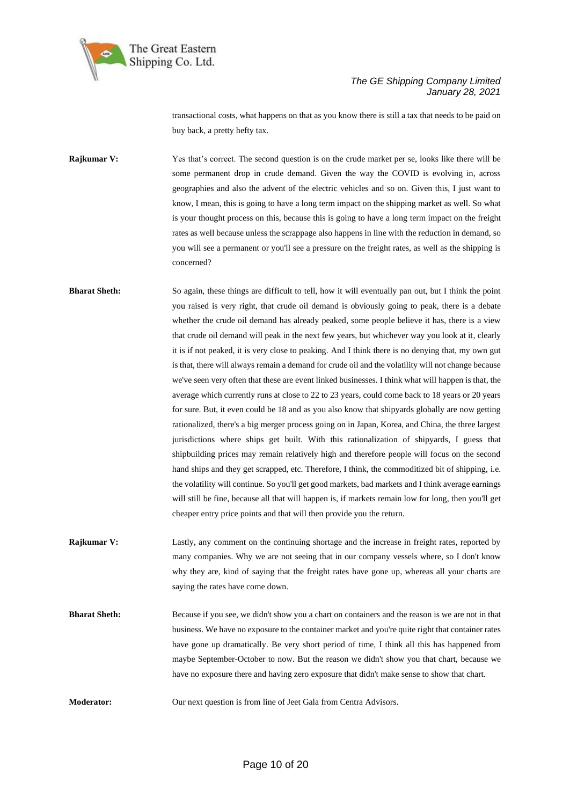

transactional costs, what happens on that as you know there is still a tax that needs to be paid on buy back, a pretty hefty tax.

**Rajkumar V:** Yes that's correct. The second question is on the crude market per se, looks like there will be some permanent drop in crude demand. Given the way the COVID is evolving in, across geographies and also the advent of the electric vehicles and so on. Given this, I just want to know, I mean, this is going to have a long term impact on the shipping market as well. So what is your thought process on this, because this is going to have a long term impact on the freight rates as well because unless the scrappage also happens in line with the reduction in demand, so you will see a permanent or you'll see a pressure on the freight rates, as well as the shipping is concerned?

**Bharat Sheth:** So again, these things are difficult to tell, how it will eventually pan out, but I think the point you raised is very right, that crude oil demand is obviously going to peak, there is a debate whether the crude oil demand has already peaked, some people believe it has, there is a view that crude oil demand will peak in the next few years, but whichever way you look at it, clearly it is if not peaked, it is very close to peaking. And I think there is no denying that, my own gut is that, there will always remain a demand for crude oil and the volatility will not change because we've seen very often that these are event linked businesses. I think what will happen is that, the average which currently runs at close to 22 to 23 years, could come back to 18 years or 20 years for sure. But, it even could be 18 and as you also know that shipyards globally are now getting rationalized, there's a big merger process going on in Japan, Korea, and China, the three largest jurisdictions where ships get built. With this rationalization of shipyards, I guess that shipbuilding prices may remain relatively high and therefore people will focus on the second hand ships and they get scrapped, etc. Therefore, I think, the commoditized bit of shipping, i.e. the volatility will continue. So you'll get good markets, bad markets and I think average earnings will still be fine, because all that will happen is, if markets remain low for long, then you'll get cheaper entry price points and that will then provide you the return.

**Rajkumar V:** Lastly, any comment on the continuing shortage and the increase in freight rates, reported by many companies. Why we are not seeing that in our company vessels where, so I don't know why they are, kind of saying that the freight rates have gone up, whereas all your charts are saying the rates have come down.

**Bharat Sheth:** Because if you see, we didn't show you a chart on containers and the reason is we are not in that business. We have no exposure to the container market and you're quite right that container rates have gone up dramatically. Be very short period of time, I think all this has happened from maybe September-October to now. But the reason we didn't show you that chart, because we have no exposure there and having zero exposure that didn't make sense to show that chart.

**Moderator:** Our next question is from line of Jeet Gala from Centra Advisors.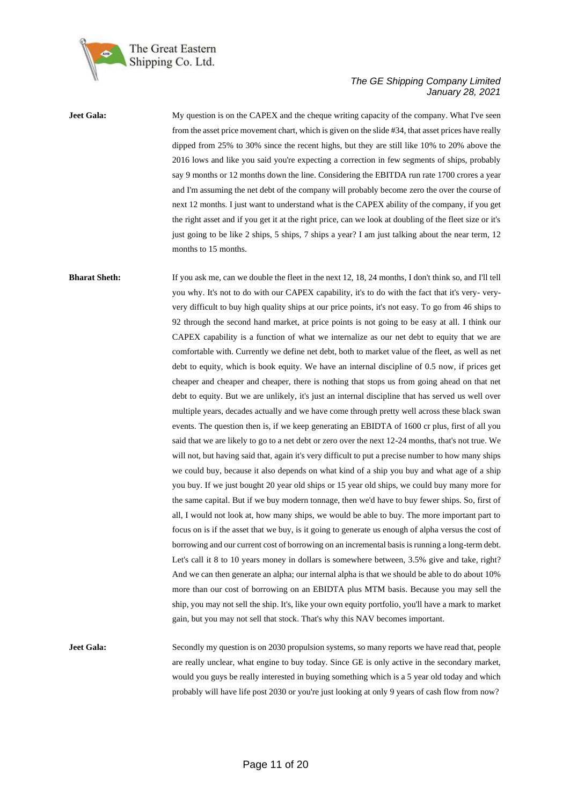

**Jeet Gala:** My question is on the CAPEX and the cheque writing capacity of the company. What I've seen from the asset price movement chart, which is given on the slide #34, that asset prices have really dipped from 25% to 30% since the recent highs, but they are still like 10% to 20% above the 2016 lows and like you said you're expecting a correction in few segments of ships, probably say 9 months or 12 months down the line. Considering the EBITDA run rate 1700 crores a year and I'm assuming the net debt of the company will probably become zero the over the course of next 12 months. I just want to understand what is the CAPEX ability of the company, if you get the right asset and if you get it at the right price, can we look at doubling of the fleet size or it's just going to be like 2 ships, 5 ships, 7 ships a year? I am just talking about the near term, 12 months to 15 months.

**Bharat Sheth:** If you ask me, can we double the fleet in the next 12, 18, 24 months, I don't think so, and I'll tell you why. It's not to do with our CAPEX capability, it's to do with the fact that it's very- veryvery difficult to buy high quality ships at our price points, it's not easy. To go from 46 ships to 92 through the second hand market, at price points is not going to be easy at all. I think our CAPEX capability is a function of what we internalize as our net debt to equity that we are comfortable with. Currently we define net debt, both to market value of the fleet, as well as net debt to equity, which is book equity. We have an internal discipline of 0.5 now, if prices get cheaper and cheaper and cheaper, there is nothing that stops us from going ahead on that net debt to equity. But we are unlikely, it's just an internal discipline that has served us well over multiple years, decades actually and we have come through pretty well across these black swan events. The question then is, if we keep generating an EBIDTA of 1600 cr plus, first of all you said that we are likely to go to a net debt or zero over the next 12-24 months, that's not true. We will not, but having said that, again it's very difficult to put a precise number to how many ships we could buy, because it also depends on what kind of a ship you buy and what age of a ship you buy. If we just bought 20 year old ships or 15 year old ships, we could buy many more for the same capital. But if we buy modern tonnage, then we'd have to buy fewer ships. So, first of all, I would not look at, how many ships, we would be able to buy. The more important part to focus on is if the asset that we buy, is it going to generate us enough of alpha versus the cost of borrowing and our current cost of borrowing on an incremental basis is running a long-term debt. Let's call it 8 to 10 years money in dollars is somewhere between, 3.5% give and take, right? And we can then generate an alpha; our internal alpha is that we should be able to do about 10% more than our cost of borrowing on an EBIDTA plus MTM basis. Because you may sell the ship, you may not sell the ship. It's, like your own equity portfolio, you'll have a mark to market gain, but you may not sell that stock. That's why this NAV becomes important.

**Jeet Gala:** Secondly my question is on 2030 propulsion systems, so many reports we have read that, people are really unclear, what engine to buy today. Since GE is only active in the secondary market, would you guys be really interested in buying something which is a 5 year old today and which probably will have life post 2030 or you're just looking at only 9 years of cash flow from now?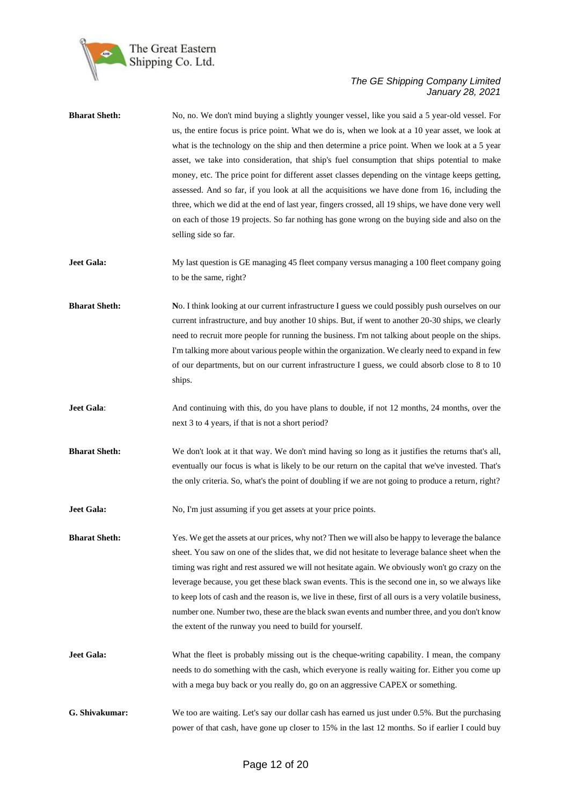

| <b>Bharat Sheth:</b> | No, no. We don't mind buying a slightly younger vessel, like you said a 5 year-old vessel. For<br>us, the entire focus is price point. What we do is, when we look at a 10 year asset, we look at<br>what is the technology on the ship and then determine a price point. When we look at a 5 year<br>asset, we take into consideration, that ship's fuel consumption that ships potential to make<br>money, etc. The price point for different asset classes depending on the vintage keeps getting,<br>assessed. And so far, if you look at all the acquisitions we have done from 16, including the<br>three, which we did at the end of last year, fingers crossed, all 19 ships, we have done very well<br>on each of those 19 projects. So far nothing has gone wrong on the buying side and also on the<br>selling side so far. |
|----------------------|----------------------------------------------------------------------------------------------------------------------------------------------------------------------------------------------------------------------------------------------------------------------------------------------------------------------------------------------------------------------------------------------------------------------------------------------------------------------------------------------------------------------------------------------------------------------------------------------------------------------------------------------------------------------------------------------------------------------------------------------------------------------------------------------------------------------------------------|
| <b>Jeet Gala:</b>    | My last question is GE managing 45 fleet company versus managing a 100 fleet company going<br>to be the same, right?                                                                                                                                                                                                                                                                                                                                                                                                                                                                                                                                                                                                                                                                                                                   |
| <b>Bharat Sheth:</b> | No. I think looking at our current infrastructure I guess we could possibly push ourselves on our<br>current infrastructure, and buy another 10 ships. But, if went to another 20-30 ships, we clearly<br>need to recruit more people for running the business. I'm not talking about people on the ships.<br>I'm talking more about various people within the organization. We clearly need to expand in few<br>of our departments, but on our current infrastructure I guess, we could absorb close to 8 to 10<br>ships.                                                                                                                                                                                                                                                                                                             |
| Jeet Gala:           | And continuing with this, do you have plans to double, if not 12 months, 24 months, over the<br>next 3 to 4 years, if that is not a short period?                                                                                                                                                                                                                                                                                                                                                                                                                                                                                                                                                                                                                                                                                      |
| <b>Bharat Sheth:</b> | We don't look at it that way. We don't mind having so long as it justifies the returns that's all,<br>eventually our focus is what is likely to be our return on the capital that we've invested. That's<br>the only criteria. So, what's the point of doubling if we are not going to produce a return, right?                                                                                                                                                                                                                                                                                                                                                                                                                                                                                                                        |
| <b>Jeet Gala:</b>    | No, I'm just assuming if you get assets at your price points.                                                                                                                                                                                                                                                                                                                                                                                                                                                                                                                                                                                                                                                                                                                                                                          |
| <b>Bharat Sheth:</b> | Yes. We get the assets at our prices, why not? Then we will also be happy to leverage the balance<br>sheet. You saw on one of the slides that, we did not hesitate to leverage balance sheet when the<br>timing was right and rest assured we will not hesitate again. We obviously won't go crazy on the<br>leverage because, you get these black swan events. This is the second one in, so we always like<br>to keep lots of cash and the reason is, we live in these, first of all ours is a very volatile business,<br>number one. Number two, these are the black swan events and number three, and you don't know<br>the extent of the runway you need to build for yourself.                                                                                                                                                   |
| <b>Jeet Gala:</b>    | What the fleet is probably missing out is the cheque-writing capability. I mean, the company<br>needs to do something with the cash, which everyone is really waiting for. Either you come up<br>with a mega buy back or you really do, go on an aggressive CAPEX or something.                                                                                                                                                                                                                                                                                                                                                                                                                                                                                                                                                        |
| G. Shivakumar:       | We too are waiting. Let's say our dollar cash has earned us just under 0.5%. But the purchasing<br>power of that cash, have gone up closer to 15% in the last 12 months. So if earlier I could buy                                                                                                                                                                                                                                                                                                                                                                                                                                                                                                                                                                                                                                     |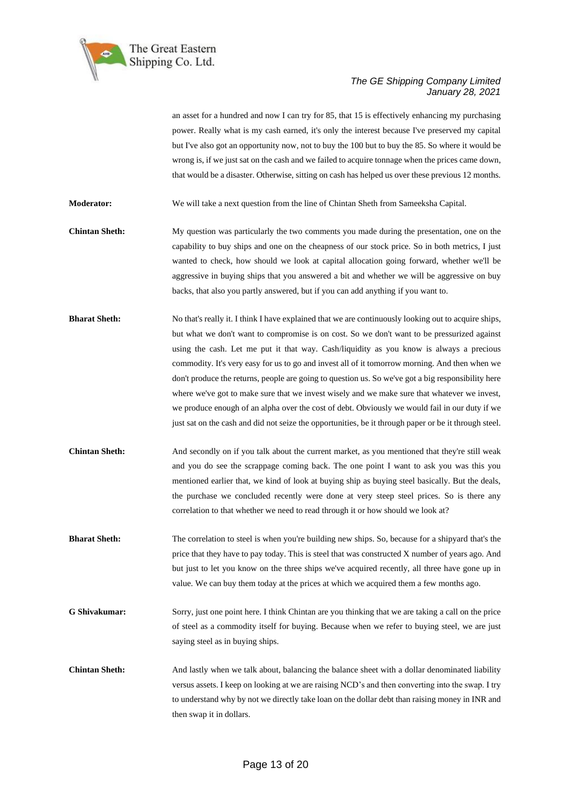

an asset for a hundred and now I can try for 85, that 15 is effectively enhancing my purchasing power. Really what is my cash earned, it's only the interest because I've preserved my capital but I've also got an opportunity now, not to buy the 100 but to buy the 85. So where it would be wrong is, if we just sat on the cash and we failed to acquire tonnage when the prices came down, that would be a disaster. Otherwise, sitting on cash has helped us over these previous 12 months.

**Moderator:** We will take a next question from the line of Chintan Sheth from Sameeksha Capital.

**Chintan Sheth:** My question was particularly the two comments you made during the presentation, one on the capability to buy ships and one on the cheapness of our stock price. So in both metrics, I just wanted to check, how should we look at capital allocation going forward, whether we'll be aggressive in buying ships that you answered a bit and whether we will be aggressive on buy backs, that also you partly answered, but if you can add anything if you want to.

- **Bharat Sheth:** No that's really it. I think I have explained that we are continuously looking out to acquire ships, but what we don't want to compromise is on cost. So we don't want to be pressurized against using the cash. Let me put it that way. Cash/liquidity as you know is always a precious commodity. It's very easy for us to go and invest all of it tomorrow morning. And then when we don't produce the returns, people are going to question us. So we've got a big responsibility here where we've got to make sure that we invest wisely and we make sure that whatever we invest, we produce enough of an alpha over the cost of debt. Obviously we would fail in our duty if we just sat on the cash and did not seize the opportunities, be it through paper or be it through steel.
- **Chintan Sheth:** And secondly on if you talk about the current market, as you mentioned that they're still weak and you do see the scrappage coming back. The one point I want to ask you was this you mentioned earlier that, we kind of look at buying ship as buying steel basically. But the deals, the purchase we concluded recently were done at very steep steel prices. So is there any correlation to that whether we need to read through it or how should we look at?
- **Bharat Sheth:** The correlation to steel is when you're building new ships. So, because for a shipyard that's the price that they have to pay today. This is steel that was constructed X number of years ago. And but just to let you know on the three ships we've acquired recently, all three have gone up in value. We can buy them today at the prices at which we acquired them a few months ago.
- **G Shivakumar:** Sorry, just one point here. I think Chintan are you thinking that we are taking a call on the price of steel as a commodity itself for buying. Because when we refer to buying steel, we are just saying steel as in buying ships.
- **Chintan Sheth:** And lastly when we talk about, balancing the balance sheet with a dollar denominated liability versus assets. I keep on looking at we are raising NCD's and then converting into the swap. I try to understand why by not we directly take loan on the dollar debt than raising money in INR and then swap it in dollars.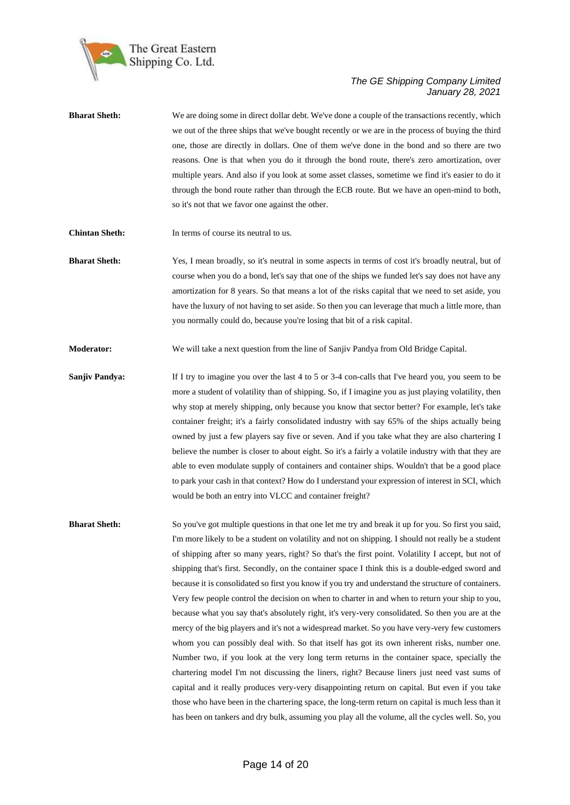

| <b>Bharat Sheth:</b> | We are doing some in direct dollar debt. We've done a couple of the transactions recently, which  |
|----------------------|---------------------------------------------------------------------------------------------------|
|                      | we out of the three ships that we've bought recently or we are in the process of buying the third |
|                      | one, those are directly in dollars. One of them we've done in the bond and so there are two       |
|                      | reasons. One is that when you do it through the bond route, there's zero amortization, over       |
|                      | multiple years. And also if you look at some asset classes, sometime we find it's easier to do it |
|                      | through the bond route rather than through the ECB route. But we have an open-mind to both,       |
|                      | so it's not that we favor one against the other.                                                  |
|                      |                                                                                                   |

**Chintan Sheth:** In terms of course its neutral to us.

**Bharat Sheth:** Yes, I mean broadly, so it's neutral in some aspects in terms of cost it's broadly neutral, but of course when you do a bond, let's say that one of the ships we funded let's say does not have any amortization for 8 years. So that means a lot of the risks capital that we need to set aside, you have the luxury of not having to set aside. So then you can leverage that much a little more, than you normally could do, because you're losing that bit of a risk capital.

**Moderator:** We will take a next question from the line of Sanjiv Pandya from Old Bridge Capital.

**Sanjiv Pandya:** If I try to imagine you over the last 4 to 5 or 3-4 con-calls that I've heard you, you seem to be more a student of volatility than of shipping. So, if I imagine you as just playing volatility, then why stop at merely shipping, only because you know that sector better? For example, let's take container freight; it's a fairly consolidated industry with say 65% of the ships actually being owned by just a few players say five or seven. And if you take what they are also chartering I believe the number is closer to about eight. So it's a fairly a volatile industry with that they are able to even modulate supply of containers and container ships. Wouldn't that be a good place to park your cash in that context? How do I understand your expression of interest in SCI, which would be both an entry into VLCC and container freight?

**Bharat Sheth:** So you've got multiple questions in that one let me try and break it up for you. So first you said, I'm more likely to be a student on volatility and not on shipping. I should not really be a student of shipping after so many years, right? So that's the first point. Volatility I accept, but not of shipping that's first. Secondly, on the container space I think this is a double-edged sword and because it is consolidated so first you know if you try and understand the structure of containers. Very few people control the decision on when to charter in and when to return your ship to you, because what you say that's absolutely right, it's very-very consolidated. So then you are at the mercy of the big players and it's not a widespread market. So you have very-very few customers whom you can possibly deal with. So that itself has got its own inherent risks, number one. Number two, if you look at the very long term returns in the container space, specially the chartering model I'm not discussing the liners, right? Because liners just need vast sums of capital and it really produces very-very disappointing return on capital. But even if you take those who have been in the chartering space, the long-term return on capital is much less than it has been on tankers and dry bulk, assuming you play all the volume, all the cycles well. So, you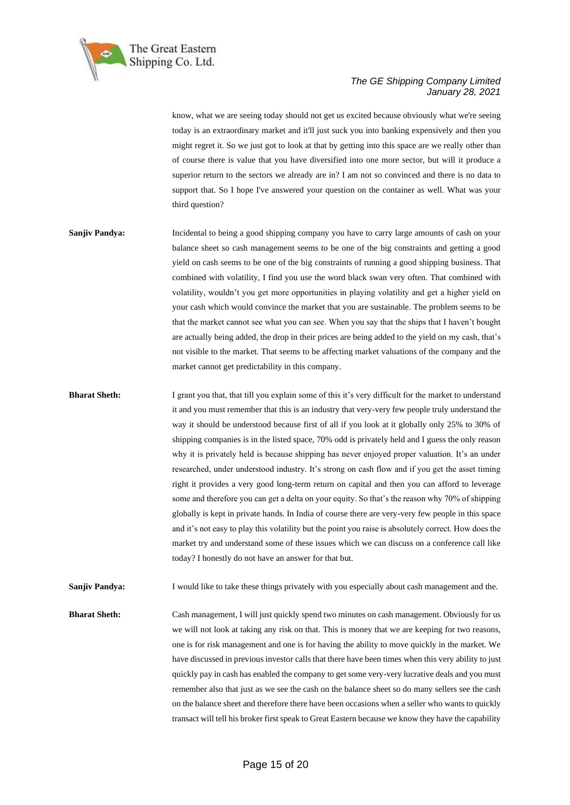

know, what we are seeing today should not get us excited because obviously what we're seeing today is an extraordinary market and it'll just suck you into banking expensively and then you might regret it. So we just got to look at that by getting into this space are we really other than of course there is value that you have diversified into one more sector, but will it produce a superior return to the sectors we already are in? I am not so convinced and there is no data to support that. So I hope I've answered your question on the container as well. What was your third question?

- **Sanjiv Pandya:** Incidental to being a good shipping company you have to carry large amounts of cash on your balance sheet so cash management seems to be one of the big constraints and getting a good yield on cash seems to be one of the big constraints of running a good shipping business. That combined with volatility, I find you use the word black swan very often. That combined with volatility, wouldn't you get more opportunities in playing volatility and get a higher yield on your cash which would convince the market that you are sustainable. The problem seems to be that the market cannot see what you can see. When you say that the ships that I haven't bought are actually being added, the drop in their prices are being added to the yield on my cash, that's not visible to the market. That seems to be affecting market valuations of the company and the market cannot get predictability in this company.
- **Bharat Sheth:** I grant you that, that till you explain some of this it's very difficult for the market to understand it and you must remember that this is an industry that very-very few people truly understand the way it should be understood because first of all if you look at it globally only 25% to 30% of shipping companies is in the listed space, 70% odd is privately held and I guess the only reason why it is privately held is because shipping has never enjoyed proper valuation. It's an under researched, under understood industry. It's strong on cash flow and if you get the asset timing right it provides a very good long-term return on capital and then you can afford to leverage some and therefore you can get a delta on your equity. So that's the reason why 70% of shipping globally is kept in private hands. In India of course there are very-very few people in this space and it's not easy to play this volatility but the point you raise is absolutely correct. How does the market try and understand some of these issues which we can discuss on a conference call like today? I honestly do not have an answer for that but.

**Sanjiv Pandya:** I would like to take these things privately with you especially about cash management and the.

**Bharat Sheth:** Cash management, I will just quickly spend two minutes on cash management. Obviously for us we will not look at taking any risk on that. This is money that we are keeping for two reasons, one is for risk management and one is for having the ability to move quickly in the market. We have discussed in previous investor calls that there have been times when this very ability to just quickly pay in cash has enabled the company to get some very-very lucrative deals and you must remember also that just as we see the cash on the balance sheet so do many sellers see the cash on the balance sheet and therefore there have been occasions when a seller who wants to quickly transact will tell his broker first speak to Great Eastern because we know they have the capability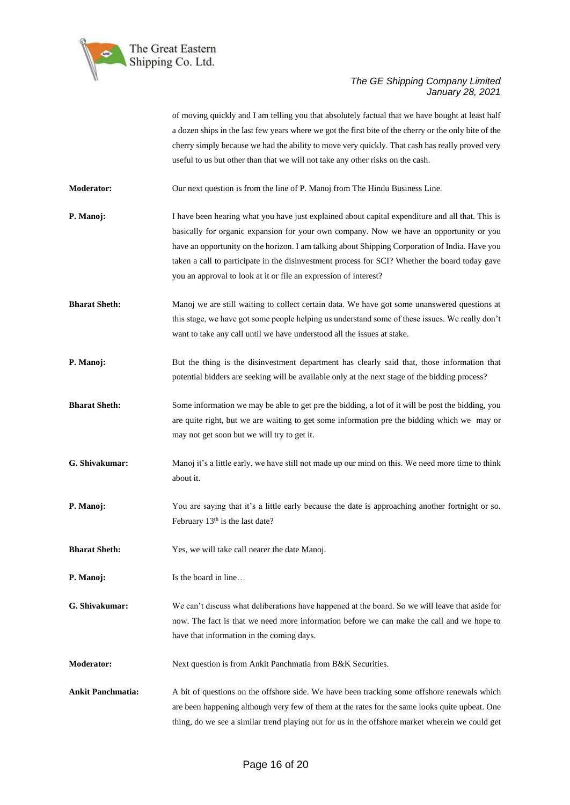

of moving quickly and I am telling you that absolutely factual that we have bought at least half a dozen ships in the last few years where we got the first bite of the cherry or the only bite of the cherry simply because we had the ability to move very quickly. That cash has really proved very useful to us but other than that we will not take any other risks on the cash.

**Moderator:** Our next question is from the line of P. Manoj from The Hindu Business Line.

- **P. Manoj:** I have been hearing what you have just explained about capital expenditure and all that. This is basically for organic expansion for your own company. Now we have an opportunity or you have an opportunity on the horizon. I am talking about Shipping Corporation of India. Have you taken a call to participate in the disinvestment process for SCI? Whether the board today gave you an approval to look at it or file an expression of interest?
- **Bharat Sheth:** Manoj we are still waiting to collect certain data. We have got some unanswered questions at this stage, we have got some people helping us understand some of these issues. We really don't want to take any call until we have understood all the issues at stake.
- **P. Manoj:** But the thing is the disinvestment department has clearly said that, those information that potential bidders are seeking will be available only at the next stage of the bidding process?
- **Bharat Sheth:** Some information we may be able to get pre the bidding, a lot of it will be post the bidding, you are quite right, but we are waiting to get some information pre the bidding which we may or may not get soon but we will try to get it.
- **G. Shivakumar:** Manoj it's a little early, we have still not made up our mind on this. We need more time to think about it.
- **P. Manoj:** You are saying that it's a little early because the date is approaching another fortnight or so. February 13<sup>th</sup> is the last date?
- **Bharat Sheth:** Yes, we will take call nearer the date Manoj.
- **P. Manoj:** Is the board in line…
- **G. Shivakumar:** We can't discuss what deliberations have happened at the board. So we will leave that aside for now. The fact is that we need more information before we can make the call and we hope to have that information in the coming days.

**Moderator:** Next question is from Ankit Panchmatia from B&K Securities.

**Ankit Panchmatia:** A bit of questions on the offshore side. We have been tracking some offshore renewals which are been happening although very few of them at the rates for the same looks quite upbeat. One thing, do we see a similar trend playing out for us in the offshore market wherein we could get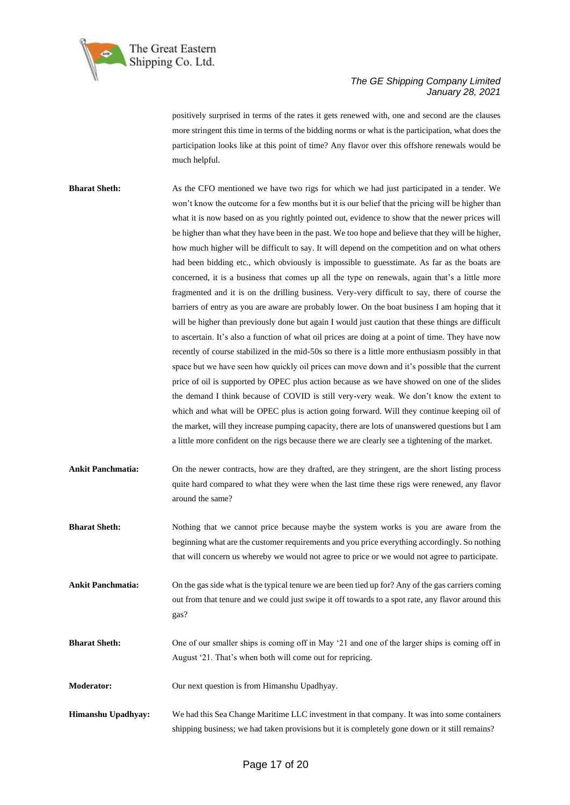

positively surprised in terms of the rates it gets renewed with, one and second are the clauses more stringent this time in terms of the bidding norms or what is the participation, what does the participation looks like at this point of time? Any flavor over this offshore renewals would be much helpful.

**Bharat Sheth:** As the CFO mentioned we have two rigs for which we had just participated in a tender. We won't know the outcome for a few months but it is our belief that the pricing will be higher than what it is now based on as you rightly pointed out, evidence to show that the newer prices will be higher than what they have been in the past. We too hope and believe that they will be higher, how much higher will be difficult to say. It will depend on the competition and on what others had been bidding etc., which obviously is impossible to guesstimate. As far as the boats are concerned, it is a business that comes up all the type on renewals, again that's a little more fragmented and it is on the drilling business. Very-very difficult to say, there of course the barriers of entry as you are aware are probably lower. On the boat business I am hoping that it will be higher than previously done but again I would just caution that these things are difficult to ascertain. It's also a function of what oil prices are doing at a point of time. They have now recently of course stabilized in the mid-50s so there is a little more enthusiasm possibly in that space but we have seen how quickly oil prices can move down and it's possible that the current price of oil is supported by OPEC plus action because as we have showed on one of the slides the demand I think because of COVID is still very-very weak. We don't know the extent to which and what will be OPEC plus is action going forward. Will they continue keeping oil of the market, will they increase pumping capacity, there are lots of unanswered questions but I am a little more confident on the rigs because there we are clearly see a tightening of the market.

Ankit Panchmatia: On the newer contracts, how are they drafted, are they stringent, are the short listing process quite hard compared to what they were when the last time these rigs were renewed, any flavor around the same?

**Bharat Sheth:** Nothing that we cannot price because maybe the system works is you are aware from the beginning what are the customer requirements and you price everything accordingly. So nothing that will concern us whereby we would not agree to price or we would not agree to participate.

**Ankit Panchmatia:** On the gas side what is the typical tenure we are been tied up for? Any of the gas carriers coming out from that tenure and we could just swipe it off towards to a spot rate, any flavor around this gas?

**Bharat Sheth:** One of our smaller ships is coming off in May '21 and one of the larger ships is coming off in August '21. That's when both will come out for repricing.

**Moderator:** Our next question is from Himanshu Upadhyay.

**Himanshu Upadhyay:** We had this Sea Change Maritime LLC investment in that company. It was into some containers shipping business; we had taken provisions but it is completely gone down or it still remains?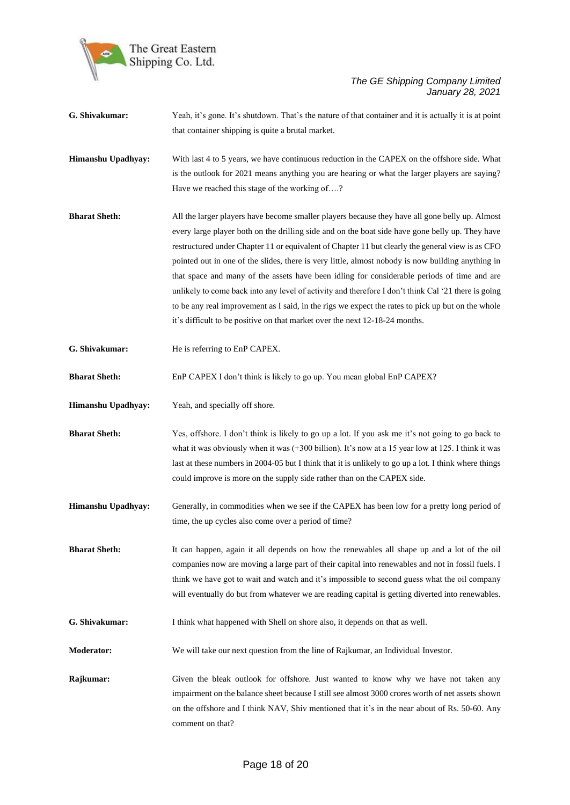

- **G. Shivakumar:** Yeah, it's gone. It's shutdown. That's the nature of that container and it is actually it is at point that container shipping is quite a brutal market.
- **Himanshu Upadhyay:** With last 4 to 5 years, we have continuous reduction in the CAPEX on the offshore side. What is the outlook for 2021 means anything you are hearing or what the larger players are saying? Have we reached this stage of the working of….?
- **Bharat Sheth:** All the larger players have become smaller players because they have all gone belly up. Almost every large player both on the drilling side and on the boat side have gone belly up. They have restructured under Chapter 11 or equivalent of Chapter 11 but clearly the general view is as CFO pointed out in one of the slides, there is very little, almost nobody is now building anything in that space and many of the assets have been idling for considerable periods of time and are unlikely to come back into any level of activity and therefore I don't think Cal '21 there is going to be any real improvement as I said, in the rigs we expect the rates to pick up but on the whole it's difficult to be positive on that market over the next 12-18-24 months.
- **G. Shivakumar:** He is referring to EnP CAPEX.

**Bharat Sheth:** EnP CAPEX I don't think is likely to go up. You mean global EnP CAPEX?

- **Himanshu Upadhyay:** Yeah, and specially off shore.
- **Bharat Sheth:** Yes, offshore. I don't think is likely to go up a lot. If you ask me it's not going to go back to what it was obviously when it was (+300 billion). It's now at a 15 year low at 125. I think it was last at these numbers in 2004-05 but I think that it is unlikely to go up a lot. I think where things could improve is more on the supply side rather than on the CAPEX side.
- **Himanshu Upadhyay:** Generally, in commodities when we see if the CAPEX has been low for a pretty long period of time, the up cycles also come over a period of time?
- **Bharat Sheth:** It can happen, again it all depends on how the renewables all shape up and a lot of the oil companies now are moving a large part of their capital into renewables and not in fossil fuels. I think we have got to wait and watch and it's impossible to second guess what the oil company will eventually do but from whatever we are reading capital is getting diverted into renewables.
- **G. Shivakumar:** I think what happened with Shell on shore also, it depends on that as well.
- **Moderator:** We will take our next question from the line of Rajkumar, an Individual Investor.
- **Rajkumar:** Given the bleak outlook for offshore. Just wanted to know why we have not taken any impairment on the balance sheet because I still see almost 3000 crores worth of net assets shown on the offshore and I think NAV, Shiv mentioned that it's in the near about of Rs. 50-60. Any comment on that?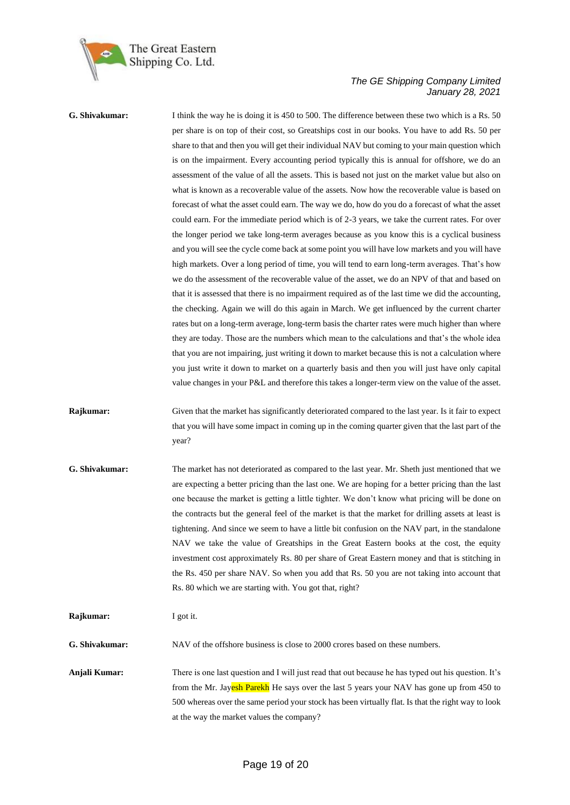

**G. Shivakumar:** I think the way he is doing it is 450 to 500. The difference between these two which is a Rs. 50 per share is on top of their cost, so Greatships cost in our books. You have to add Rs. 50 per share to that and then you will get their individual NAV but coming to your main question which is on the impairment. Every accounting period typically this is annual for offshore, we do an assessment of the value of all the assets. This is based not just on the market value but also on what is known as a recoverable value of the assets. Now how the recoverable value is based on forecast of what the asset could earn. The way we do, how do you do a forecast of what the asset could earn. For the immediate period which is of 2-3 years, we take the current rates. For over the longer period we take long-term averages because as you know this is a cyclical business and you will see the cycle come back at some point you will have low markets and you will have high markets. Over a long period of time, you will tend to earn long-term averages. That's how we do the assessment of the recoverable value of the asset, we do an NPV of that and based on that it is assessed that there is no impairment required as of the last time we did the accounting, the checking. Again we will do this again in March. We get influenced by the current charter rates but on a long-term average, long-term basis the charter rates were much higher than where they are today. Those are the numbers which mean to the calculations and that's the whole idea that you are not impairing, just writing it down to market because this is not a calculation where you just write it down to market on a quarterly basis and then you will just have only capital value changes in your P&L and therefore this takes a longer-term view on the value of the asset.

**Rajkumar:** Given that the market has significantly deteriorated compared to the last year. Is it fair to expect that you will have some impact in coming up in the coming quarter given that the last part of the year?

**G. Shivakumar:** The market has not deteriorated as compared to the last year. Mr. Sheth just mentioned that we are expecting a better pricing than the last one. We are hoping for a better pricing than the last one because the market is getting a little tighter. We don't know what pricing will be done on the contracts but the general feel of the market is that the market for drilling assets at least is tightening. And since we seem to have a little bit confusion on the NAV part, in the standalone NAV we take the value of Greatships in the Great Eastern books at the cost, the equity investment cost approximately Rs. 80 per share of Great Eastern money and that is stitching in the Rs. 450 per share NAV. So when you add that Rs. 50 you are not taking into account that Rs. 80 which we are starting with. You got that, right?

**Rajkumar:** I got it.

**G. Shivakumar:** NAV of the offshore business is close to 2000 crores based on these numbers.

**Anjali Kumar:** There is one last question and I will just read that out because he has typed out his question. It's from the Mr. Jayesh Parekh He says over the last 5 years your NAV has gone up from 450 to 500 whereas over the same period your stock has been virtually flat. Is that the right way to look at the way the market values the company?